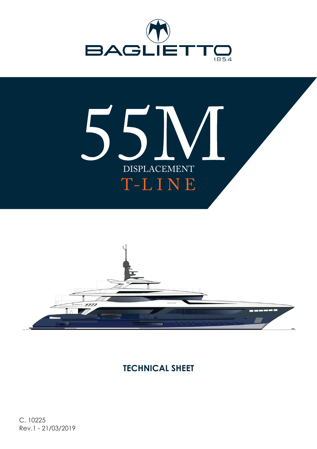





## **TECHNICAL SHEET**

C. 10225 Rev.1 - 21/03/2019